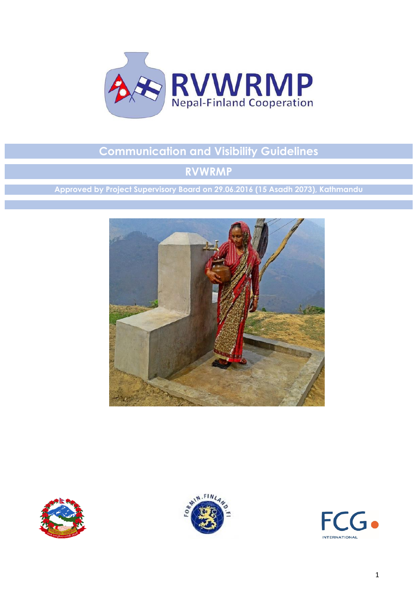

# **Communication and Visibility Guidelines**

# **RVWRMP**

**Approved by Project Supervisory Board on 29.06.2016 (15 Asadh 2073), Kathmandu**







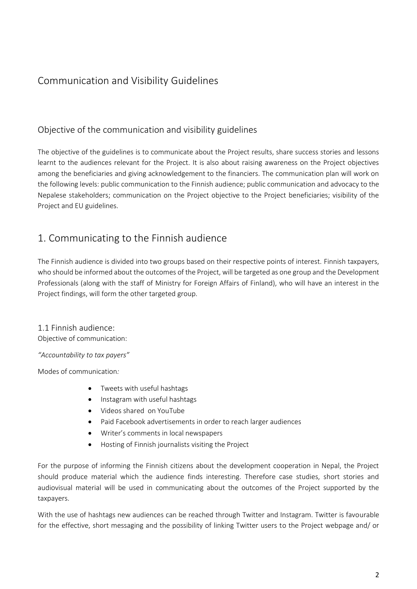## Communication and Visibility Guidelines

### Objective of the communication and visibility guidelines

The objective of the guidelines is to communicate about the Project results, share success stories and lessons learnt to the audiences relevant for the Project. It is also about raising awareness on the Project objectives among the beneficiaries and giving acknowledgement to the financiers. The communication plan will work on the following levels: public communication to the Finnish audience; public communication and advocacy to the Nepalese stakeholders; communication on the Project objective to the Project beneficiaries; visibility of the Project and EU guidelines.

## 1. Communicating to the Finnish audience

The Finnish audience is divided into two groups based on their respective points of interest. Finnish taxpayers, who should be informed about the outcomes of the Project, will be targeted as one group and the Development Professionals (along with the staff of Ministry for Foreign Affairs of Finland), who will have an interest in the Project findings, will form the other targeted group.

### 1.1 Finnish audience:

Objective of communication:

*"Accountability to tax payers"*

Modes of communication*:*

- Tweets with useful hashtags
- Instagram with useful hashtags
- Videos shared on YouTube
- Paid Facebook advertisements in order to reach larger audiences
- Writer's comments in local newspapers
- Hosting of Finnish journalists visiting the Project

For the purpose of informing the Finnish citizens about the development cooperation in Nepal, the Project should produce material which the audience finds interesting. Therefore case studies, short stories and audiovisual material will be used in communicating about the outcomes of the Project supported by the taxpayers.

With the use of hashtags new audiences can be reached through Twitter and Instagram. Twitter is favourable for the effective, short messaging and the possibility of linking Twitter users to the Project webpage and/ or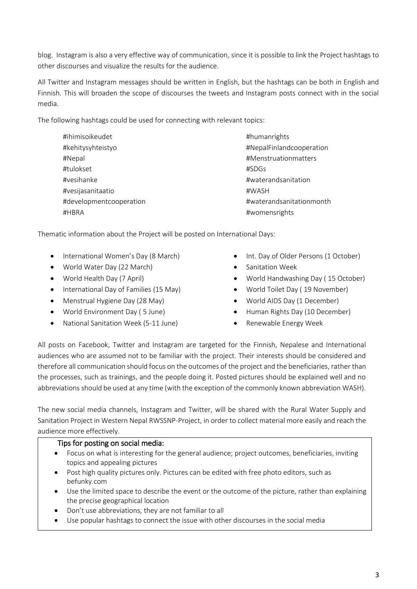blog. Instagram is also a very effective way of communication, since it is possible to link the Project hashtags to other discourses and visualize the results for the audience.

All Twitter and Instagram messages should be written in English, but the hashtags can be both in English and Finnish. This will broaden the scope of discourses the tweets and Instagram posts connect with in the social media.

The following hashtags could be used for connecting with relevant topics:

| #ihimisoikeudet         | #humanrights             |
|-------------------------|--------------------------|
| #kehitysyhteistyo       | #NepalFinlandcooperation |
| #Nepal                  | #Menstruationmatters     |
| #tulokset               | #SDGs                    |
| #vesihanke              | #waterandsanitation      |
| #vesijasanitaatio       | #WASH                    |
| #developmentcooperation | #waterandsanitationmonth |
| #HBRA                   | #womensrights            |

Thematic information about the Project will be posted on International Days:

- International Women's Day (8 March)
- World Water Day (22 March)
- World Health Day (7 April)
- International Day of Families (15 May)
- Menstrual Hygiene Day (28 May)
- World Environment Day ( 5 June)
- National Sanitation Week (5-11 June)
- Int. Day of Older Persons (1 October)
- Sanitation Week
- World Handwashing Day ( 15 October)
- World Toilet Day ( 19 November)
- World AIDS Day (1 December)
- Human Rights Day (10 December)
- Renewable Energy Week

All posts on Facebook, Twitter and Instagram are targeted for the Finnish, Nepalese and International audiences who are assumed not to be familiar with the project. Their interests should be considered and therefore all communication should focus on the outcomes of the project and the beneficiaries, rather than the processes, such as trainings, and the people doing it. Posted pictures should be explained well and no abbreviations should be used at any time (with the exception of the commonly known abbreviation WASH).

The new social media channels, Instagram and Twitter, will be shared with the Rural Water Supply and Sanitation Project in Western Nepal RWSSNP-Project, in order to collect material more easily and reach the audience more effectively.

### Tips for posting on social media:

- Focus on what is interesting for the general audience; project outcomes, beneficiaries, inviting topics and appealing pictures
- Post high quality pictures only. Pictures can be edited with free photo editors, such as befunky.com
- Use the limited space to describe the event or the outcome of the picture, rather than explaining the precise geographical location
- Don't use abbreviations, they are not familiar to all
- Use popular hashtags to connect the issue with other discourses in the social media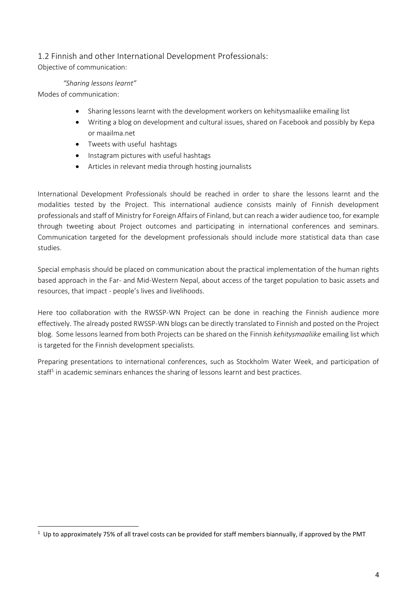### 1.2 Finnish and other International Development Professionals: Objective of communication:

#### *"Sharing lessons learnt"*

Modes of communication:

- Sharing lessons learnt with the development workers on kehitysmaaliike emailing list
- Writing a blog on development and cultural issues, shared on Facebook and possibly by Kepa or maailma.net
- Tweets with useful hashtags
- Instagram pictures with useful hashtags
- Articles in relevant media through hosting journalists

International Development Professionals should be reached in order to share the lessons learnt and the modalities tested by the Project. This international audience consists mainly of Finnish development professionals and staff of Ministry for Foreign Affairs of Finland, but can reach a wider audience too, for example through tweeting about Project outcomes and participating in international conferences and seminars. Communication targeted for the development professionals should include more statistical data than case studies.

Special emphasis should be placed on communication about the practical implementation of the human rights based approach in the Far- and Mid-Western Nepal, about access of the target population to basic assets and resources, that impact - people's lives and livelihoods.

Here too collaboration with the RWSSP-WN Project can be done in reaching the Finnish audience more effectively. The already posted RWSSP-WN blogs can be directly translated to Finnish and posted on the Project blog. Some lessons learned from both Projects can be shared on the Finnish *kehitysmaaliike* emailing list which is targeted for the Finnish development specialists.

Preparing presentations to international conferences, such as Stockholm Water Week, and participation of staff<sup>1</sup> in academic seminars enhances the sharing of lessons learnt and best practices.

**<sup>.</sup>**  $1$  Up to approximately 75% of all travel costs can be provided for staff members biannually, if approved by the PMT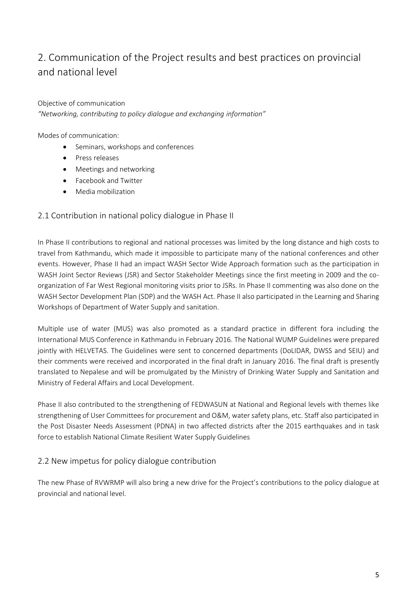# 2. Communication of the Project results and best practices on provincial and national level

Objective of communication *"Networking, contributing to policy dialogue and exchanging information"*

Modes of communication:

- Seminars, workshops and conferences
- Press releases
- Meetings and networking
- Facebook and Twitter
- Media mobilization

### 2.1 Contribution in national policy dialogue in Phase II

In Phase II contributions to regional and national processes was limited by the long distance and high costs to travel from Kathmandu, which made it impossible to participate many of the national conferences and other events. However, Phase II had an impact WASH Sector Wide Approach formation such as the participation in WASH Joint Sector Reviews (JSR) and Sector Stakeholder Meetings since the first meeting in 2009 and the coorganization of Far West Regional monitoring visits prior to JSRs. In Phase II commenting was also done on the WASH Sector Development Plan (SDP) and the WASH Act. Phase II also participated in the Learning and Sharing Workshops of Department of Water Supply and sanitation.

Multiple use of water (MUS) was also promoted as a standard practice in different fora including the International MUS Conference in Kathmandu in February 2016. The National WUMP Guidelines were prepared jointly with HELVETAS. The Guidelines were sent to concerned departments (DoLIDAR, DWSS and SEIU) and their comments were received and incorporated in the final draft in January 2016. The final draft is presently translated to Nepalese and will be promulgated by the Ministry of Drinking Water Supply and Sanitation and Ministry of Federal Affairs and Local Development.

Phase II also contributed to the strengthening of FEDWASUN at National and Regional levels with themes like strengthening of User Committees for procurement and O&M, water safety plans, etc. Staff also participated in the Post Disaster Needs Assessment (PDNA) in two affected districts after the 2015 earthquakes and in task force to establish National Climate Resilient Water Supply Guidelines

### 2.2 New impetus for policy dialogue contribution

The new Phase of RVWRMP will also bring a new drive for the Project's contributions to the policy dialogue at provincial and national level.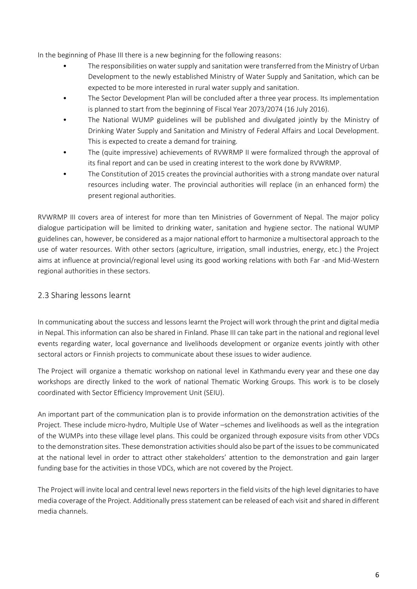In the beginning of Phase III there is a new beginning for the following reasons:

- The responsibilities on water supply and sanitation were transferred from the Ministry of Urban Development to the newly established Ministry of Water Supply and Sanitation, which can be expected to be more interested in rural water supply and sanitation.
- The Sector Development Plan will be concluded after a three year process. Its implementation is planned to start from the beginning of Fiscal Year 2073/2074 (16 July 2016).
- The National WUMP guidelines will be published and divulgated jointly by the Ministry of Drinking Water Supply and Sanitation and Ministry of Federal Affairs and Local Development. This is expected to create a demand for training.
- The (quite impressive) achievements of RVWRMP II were formalized through the approval of its final report and can be used in creating interest to the work done by RVWRMP.
- The Constitution of 2015 creates the provincial authorities with a strong mandate over natural resources including water. The provincial authorities will replace (in an enhanced form) the present regional authorities.

RVWRMP III covers area of interest for more than ten Ministries of Government of Nepal. The major policy dialogue participation will be limited to drinking water, sanitation and hygiene sector. The national WUMP guidelines can, however, be considered as a major national effort to harmonize a multisectoral approach to the use of water resources. With other sectors (agriculture, irrigation, small industries, energy, etc.) the Project aims at influence at provincial/regional level using its good working relations with both Far -and Mid-Western regional authorities in these sectors.

### 2.3 Sharing lessons learnt

In communicating about the success and lessons learnt the Project will work through the print and digital media in Nepal. This information can also be shared in Finland. Phase III can take part in the national and regional level events regarding water, local governance and livelihoods development or organize events jointly with other sectoral actors or Finnish projects to communicate about these issues to wider audience.

The Project will organize a thematic workshop on national level in Kathmandu every year and these one day workshops are directly linked to the work of national Thematic Working Groups. This work is to be closely coordinated with Sector Efficiency Improvement Unit (SEIU).

An important part of the communication plan is to provide information on the demonstration activities of the Project. These include micro-hydro, Multiple Use of Water –schemes and livelihoods as well as the integration of the WUMPs into these village level plans. This could be organized through exposure visits from other VDCs to the demonstration sites. These demonstration activities should also be part of the issues to be communicated at the national level in order to attract other stakeholders' attention to the demonstration and gain larger funding base for the activities in those VDCs, which are not covered by the Project.

The Project will invite local and central level news reporters in the field visits of the high level dignitaries to have media coverage of the Project. Additionally press statement can be released of each visit and shared in different media channels.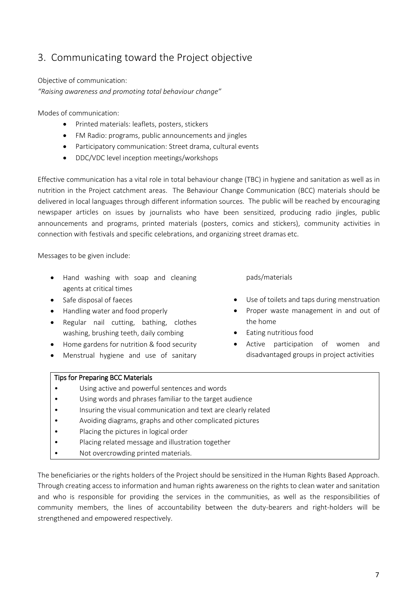## 3. Communicating toward the Project objective

Objective of communication:

*"Raising awareness and promoting total behaviour change"*

Modes of communication:

- Printed materials: leaflets, posters, stickers
- FM Radio: programs, public announcements and jingles
- Participatory communication: Street drama, cultural events
- DDC/VDC level inception meetings/workshops

Effective communication has a vital role in total behaviour change (TBC) in hygiene and sanitation as well as in nutrition in the Project catchment areas. The Behaviour Change Communication (BCC) materials should be delivered in local languages through different information sources. The public will be reached by encouraging newspaper articles on issues by journalists who have been sensitized, producing radio jingles, public announcements and programs, printed materials (posters, comics and stickers), community activities in connection with festivals and specific celebrations, and organizing street dramas etc.

Messages to be given include:

- Hand washing with soap and cleaning agents at critical times
- Safe disposal of faeces
- Handling water and food properly
- Regular nail cutting, bathing, clothes washing, brushing teeth, daily combing
- Home gardens for nutrition & food security
- Menstrual hygiene and use of sanitary

pads/materials

- Use of toilets and taps during menstruation
- Proper waste management in and out of the home
- **Eating nutritious food**
- Active participation of women and disadvantaged groups in project activities

#### Tips for Preparing BCC Materials

- Using active and powerful sentences and words
- Using words and phrases familiar to the target audience
- Insuring the visual communication and text are clearly related
- Avoiding diagrams, graphs and other complicated pictures
- Placing the pictures in logical order
- Placing related message and illustration together
- Not overcrowding printed materials.

The beneficiaries or the rights holders of the Project should be sensitized in the Human Rights Based Approach. Through creating access to information and human rights awareness on the rights to clean water and sanitation and who is responsible for providing the services in the communities, as well as the responsibilities of community members, the lines of accountability between the duty-bearers and right-holders will be strengthened and empowered respectively.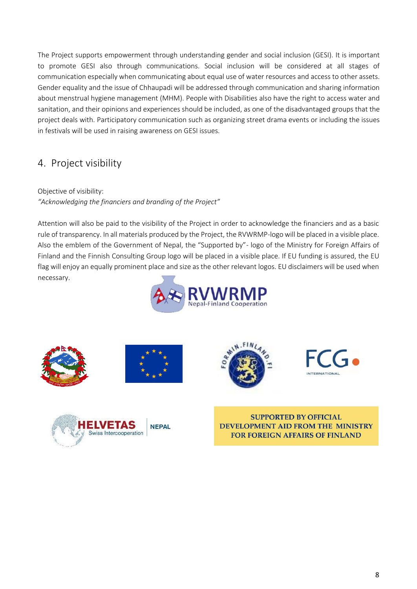The Project supports empowerment through understanding gender and social inclusion (GESI). It is important to promote GESI also through communications. Social inclusion will be considered at all stages of communication especially when communicating about equal use of water resources and access to other assets. Gender equality and the issue of Chhaupadi will be addressed through communication and sharing information about menstrual hygiene management (MHM). People with Disabilities also have the right to access water and sanitation, and their opinions and experiences should be included, as one of the disadvantaged groups that the project deals with. Participatory communication such as organizing street drama events or including the issues in festivals will be used in raising awareness on GESI issues.

## 4. Project visibility

Objective of visibility: *"Acknowledging the financiers and branding of the Project"*

Attention will also be paid to the visibility of the Project in order to acknowledge the financiers and as a basic rule of transparency. In all materials produced by the Project, the RVWRMP-logo will be placed in a visible place. Also the emblem of the Government of Nepal, the "Supported by"- logo of the Ministry for Foreign Affairs of Finland and the Finnish Consulting Group logo will be placed in a visible place. If EU funding is assured, the EU flag will enjoy an equally prominent place and size as the other relevant logos. EU disclaimers will be used when necessary.













**SUPPORTED BY OFFICIAL** DEVELOPMENT AID FROM THE MINISTRY **FOR FOREIGN AFFAIRS OF FINLAND**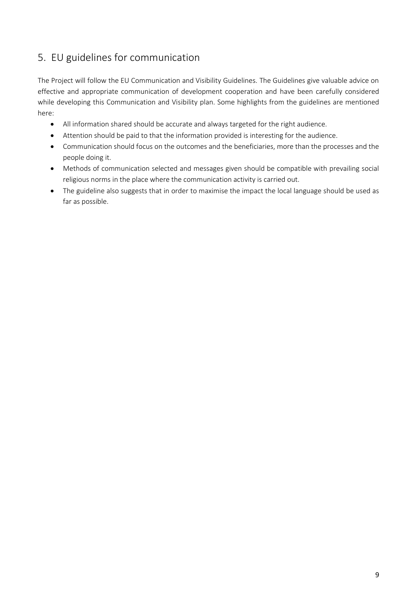## 5. EU guidelines for communication

The Project will follow the EU Communication and Visibility Guidelines. The Guidelines give valuable advice on effective and appropriate communication of development cooperation and have been carefully considered while developing this Communication and Visibility plan. Some highlights from the guidelines are mentioned here:

- All information shared should be accurate and always targeted for the right audience.
- Attention should be paid to that the information provided is interesting for the audience.
- Communication should focus on the outcomes and the beneficiaries, more than the processes and the people doing it.
- Methods of communication selected and messages given should be compatible with prevailing social religious norms in the place where the communication activity is carried out.
- The guideline also suggests that in order to maximise the impact the local language should be used as far as possible.